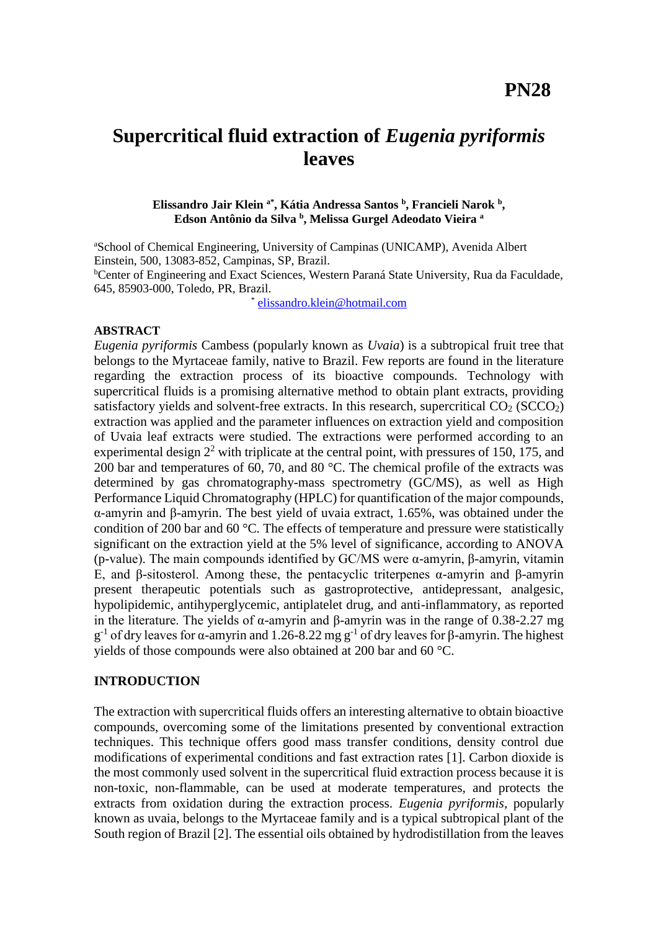# **Supercritical fluid extraction of** *Eugenia pyriformis* **leaves**

#### **Elissandro Jair Klein a\*, Kátia Andressa Santos <sup>b</sup> , Francieli Narok <sup>b</sup> , Edson Antônio da Silva <sup>b</sup> , Melissa Gurgel Adeodato Vieira <sup>a</sup>**

<sup>a</sup>School of Chemical Engineering, University of Campinas (UNICAMP), Avenida Albert Einstein, 500, 13083-852, Campinas, SP, Brazil. <sup>b</sup>Center of Engineering and Exact Sciences, Western Paraná State University, Rua da Faculdade, 645, 85903-000, Toledo, PR, Brazil.

> \* [elissandro.klein@hotmail.com](mailto:elissandro.klein@hotmail.com)

#### **ABSTRACT**

*Eugenia pyriformis* Cambess (popularly known as *Uvaia*) is a subtropical fruit tree that belongs to the Myrtaceae family, native to Brazil. Few reports are found in the literature regarding the extraction process of its bioactive compounds. Technology with supercritical fluids is a promising alternative method to obtain plant extracts, providing satisfactory vields and solvent-free extracts. In this research, supercritical  $CO<sub>2</sub> (SCCO<sub>2</sub>)$ extraction was applied and the parameter influences on extraction yield and composition of Uvaia leaf extracts were studied. The extractions were performed according to an experimental design  $2<sup>2</sup>$  with triplicate at the central point, with pressures of 150, 175, and 200 bar and temperatures of 60, 70, and 80 °C. The chemical profile of the extracts was determined by gas chromatography-mass spectrometry (GC/MS), as well as High Performance Liquid Chromatography (HPLC) for quantification of the major compounds, α-amyrin and β-amyrin. The best yield of uvaia extract, 1.65%, was obtained under the condition of 200 bar and 60 °C*.* The effects of temperature and pressure were statistically significant on the extraction yield at the 5% level of significance, according to ANOVA (p-value). The main compounds identified by GC/MS were α-amyrin, β-amyrin, vitamin E, and β-sitosterol. Among these, the pentacyclic triterpenes α-amyrin and β-amyrin present therapeutic potentials such as gastroprotective, antidepressant, analgesic, hypolipidemic, antihyperglycemic, antiplatelet drug, and anti-inflammatory, as reported in the literature. The yields of α-amyrin and β-amyrin was in the range of  $0.38$ -2.27 mg  $g^{-1}$  of dry leaves for α-amyrin and 1.26-8.22 mg  $g^{-1}$  of dry leaves for β-amyrin. The highest yields of those compounds were also obtained at 200 bar and 60 °C.

# **INTRODUCTION**

The extraction with supercritical fluids offers an interesting alternative to obtain bioactive compounds, overcoming some of the limitations presented by conventional extraction techniques. This technique offers good mass transfer conditions, density control due modifications of experimental conditions and fast extraction rates [1]. Carbon dioxide is the most commonly used solvent in the supercritical fluid extraction process because it is non-toxic, non-flammable, can be used at moderate temperatures, and protects the extracts from oxidation during the extraction process. *Eugenia pyriformis*, popularly known as uvaia, belongs to the Myrtaceae family and is a typical subtropical plant of the South region of Brazil [2]. The essential oils obtained by hydrodistillation from the leaves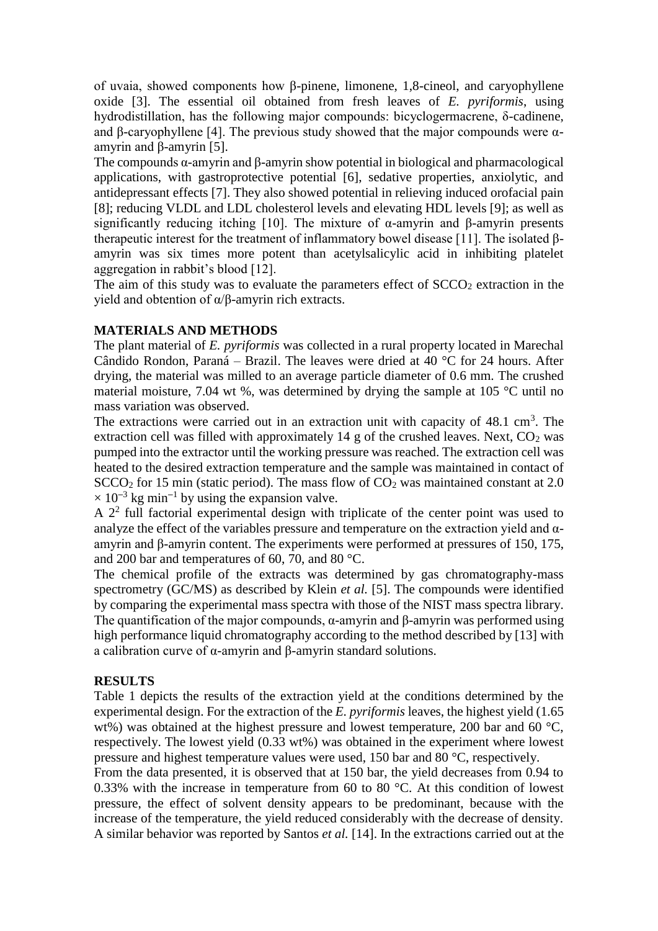of uvaia, showed components how β-pinene, limonene, 1,8-cineol, and caryophyllene oxide [3]. The essential oil obtained from fresh leaves of *E. pyriformis*, using hydrodistillation, has the following major compounds: bicyclogermacrene, δ-cadinene, and β-caryophyllene [4]. The previous study showed that the major compounds were  $\alpha$ amyrin and β-amyrin [5].

The compounds α-amyrin and β-amyrin show potential in biological and pharmacological applications, with gastroprotective potential [6], sedative properties, anxiolytic, and antidepressant effects [7]. They also showed potential in relieving induced orofacial pain [8]; reducing VLDL and LDL cholesterol levels and elevating HDL levels [9]; as well as significantly reducing itching [10]. The mixture of  $\alpha$ -amyrin and β-amyrin presents therapeutic interest for the treatment of inflammatory bowel disease [11]. The isolated βamyrin was six times more potent than acetylsalicylic acid in inhibiting platelet aggregation in rabbit's blood [12].

The aim of this study was to evaluate the parameters effect of  $SCCO<sub>2</sub>$  extraction in the yield and obtention of α/β-amyrin rich extracts.

## **MATERIALS AND METHODS**

The plant material of *E. pyriformis* was collected in a rural property located in Marechal Cândido Rondon, Paraná – Brazil. The leaves were dried at 40 °C for 24 hours. After drying, the material was milled to an average particle diameter of 0.6 mm. The crushed material moisture, 7.04 wt %, was determined by drying the sample at 105 °C until no mass variation was observed.

The extractions were carried out in an extraction unit with capacity of  $48.1 \text{ cm}^3$ . The extraction cell was filled with approximately 14 g of the crushed leaves. Next,  $CO<sub>2</sub>$  was pumped into the extractor until the working pressure was reached. The extraction cell was heated to the desired extraction temperature and the sample was maintained in contact of  $SCCO<sub>2</sub>$  for 15 min (static period). The mass flow of  $CO<sub>2</sub>$  was maintained constant at 2.0 × 10**<sup>−</sup>**<sup>3</sup> kg min**<sup>−</sup>**<sup>1</sup> by using the expansion valve.

A  $2<sup>2</sup>$  full factorial experimental design with triplicate of the center point was used to analyze the effect of the variables pressure and temperature on the extraction yield and  $\alpha$ amyrin and β-amyrin content. The experiments were performed at pressures of 150, 175, and 200 bar and temperatures of 60, 70, and 80 °C.

The chemical profile of the extracts was determined by gas chromatography-mass spectrometry (GC/MS) as described by Klein *et al.* [5]. The compounds were identified by comparing the experimental mass spectra with those of the NIST mass spectra library. The quantification of the major compounds,  $\alpha$ -amyrin and  $\beta$ -amyrin was performed using high performance liquid chromatography according to the method described by [13] with a calibration curve of α-amyrin and β-amyrin standard solutions.

### **RESULTS**

Table 1 depicts the results of the extraction yield at the conditions determined by the experimental design. For the extraction of the *E. pyriformis* leaves, the highest yield (1.65 wt%) was obtained at the highest pressure and lowest temperature, 200 bar and 60  $^{\circ}C$ , respectively. The lowest yield (0.33 wt%) was obtained in the experiment where lowest pressure and highest temperature values were used, 150 bar and 80 °C, respectively.

From the data presented, it is observed that at 150 bar, the yield decreases from 0.94 to 0.33% with the increase in temperature from 60 to 80  $^{\circ}$ C. At this condition of lowest pressure, the effect of solvent density appears to be predominant, because with the increase of the temperature, the yield reduced considerably with the decrease of density. A similar behavior was reported by Santos *et al.* [14]. In the extractions carried out at the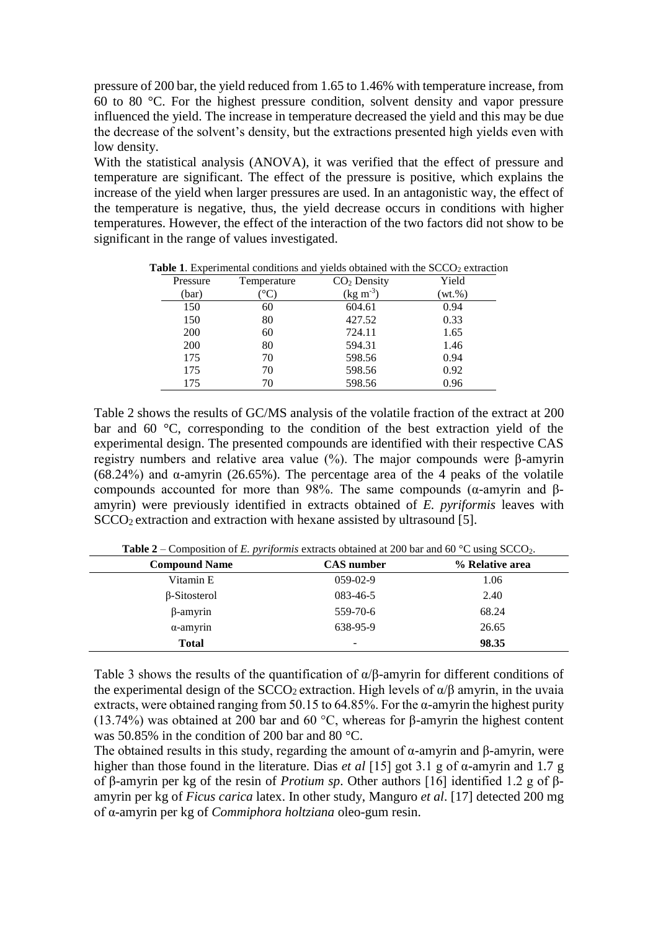pressure of 200 bar, the yield reduced from 1.65 to 1.46% with temperature increase, from 60 to 80 °C. For the highest pressure condition, solvent density and vapor pressure influenced the yield. The increase in temperature decreased the yield and this may be due the decrease of the solvent's density, but the extractions presented high yields even with low density.

With the statistical analysis (ANOVA), it was verified that the effect of pressure and temperature are significant. The effect of the pressure is positive, which explains the increase of the yield when larger pressures are used. In an antagonistic way, the effect of the temperature is negative, thus, the yield decrease occurs in conditions with higher temperatures. However, the effect of the interaction of the two factors did not show to be significant in the range of values investigated.

| Pressure | Temperature | $CO2$ Density | Yield      |  |
|----------|-------------|---------------|------------|--|
| (bar)    |             | $(kg m-3)$    | $(wt. \%)$ |  |
| 150      | 60          | 604.61        | 0.94       |  |
| 150      | 80          | 427.52        | 0.33       |  |
| 200      | 60          | 724.11        | 1.65       |  |
| 200      | 80          | 594.31        | 1.46       |  |
| 175      | 70          | 598.56        | 0.94       |  |
| 175      | 70          | 598.56        | 0.92       |  |
| 175      |             | 598.56        | 0.96       |  |

**Table 1.** Experimental conditions and yields obtained with the  $SCCO<sub>2</sub>$  extraction

Table 2 shows the results of GC/MS analysis of the volatile fraction of the extract at 200 bar and 60 °C, corresponding to the condition of the best extraction yield of the experimental design. The presented compounds are identified with their respective CAS registry numbers and relative area value (%). The major compounds were β-amyrin (68.24%) and α-amyrin (26.65%). The percentage area of the 4 peaks of the volatile compounds accounted for more than 98%. The same compounds (α-amyrin and βamyrin) were previously identified in extracts obtained of *E. pyriformis* leaves with  $SCCO<sub>2</sub>$  extraction and extraction with hexane assisted by ultrasound [5].

| <b>Compound Name</b> | <b>CAS</b> number | % Relative area |
|----------------------|-------------------|-----------------|
| Vitamin E            | $059 - 02 - 9$    | 1.06            |
| $\beta$ -Sitosterol  | 083-46-5          | 2.40            |
| $\beta$ -amyrin      | 559-70-6          | 68.24           |
| $\alpha$ -amyrin     | 638-95-9          | 26.65           |
| <b>Total</b>         | -                 | 98.35           |

**Table 2** – Composition of *E. pyriformis* extracts obtained at 200 bar and 60 °C using  $SCCO<sub>2</sub>$ .

Table 3 shows the results of the quantification of α/β-amyrin for different conditions of the experimental design of the SCCO<sub>2</sub> extraction. High levels of  $\alpha/\beta$  amyrin, in the uvaia extracts, were obtained ranging from 50.15 to 64.85%. For the  $\alpha$ -amyrin the highest purity (13.74%) was obtained at 200 bar and 60 °C, whereas for β-amyrin the highest content was 50.85% in the condition of 200 bar and 80 °C.

The obtained results in this study, regarding the amount of  $\alpha$ -amyrin and  $\beta$ -amyrin, were higher than those found in the literature. Dias *et al* [15] got 3.1 g of α-amyrin and 1.7 g of β-amyrin per kg of the resin of *Protium sp*. Other authors [16] identified 1.2 g of βamyrin per kg of *Ficus carica* latex. In other study, Manguro *et al*. [17] detected 200 mg of α-amyrin per kg of *Commiphora holtziana* oleo-gum resin.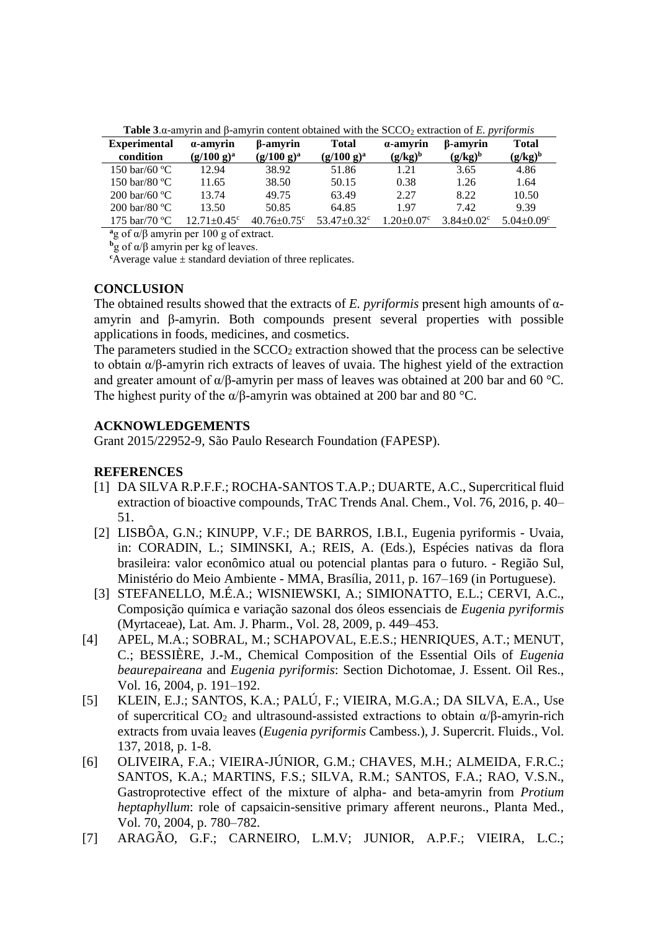| <b>Experimental</b>                                  | a-amyrin                      | β-amyrin           | <b>Total</b>                  | a-amyrin                    | β-amyrin                     | <b>Total</b>                 |  |  |
|------------------------------------------------------|-------------------------------|--------------------|-------------------------------|-----------------------------|------------------------------|------------------------------|--|--|
| condition                                            | $(g/100 g)^a$                 | $(g/100 g)^a$      | $(g/100 g)^a$                 | $(g/kg)^b$                  | $(g/kg)^b$                   | $(g/kg)^b$                   |  |  |
| 150 bar/60 $^{\circ}$ C                              | 12.94                         | 38.92              | 51.86                         | 1.21                        | 3.65                         | 4.86                         |  |  |
| 150 bar/80 $^{\circ}$ C                              | 11.65                         | 38.50              | 50.15                         | 0.38                        | 1.26                         | 1.64                         |  |  |
| $200 \,\mathrm{bar/}60 \,\mathrm{°C}$                | 13.74                         | 49.75              | 63.49                         | 2.27                        | 8.22                         | 10.50                        |  |  |
| $200 \,\mathrm{bar}/80 \,\mathrm{°C}$                | 13.50                         | 50.85              | 64.85                         | 1.97                        | 7.42                         | 9.39                         |  |  |
| 175 bar/70 $^{\circ}$ C                              | $12.71 \pm 0.45$ <sup>c</sup> | $40.76 \pm 0.75$ ° | $53.47 \pm 0.32$ <sup>c</sup> | $.20 \pm 0.07$ <sup>c</sup> | $3.84 \pm 0.02$ <sup>c</sup> | $5.04 \pm 0.09$ <sup>c</sup> |  |  |
| $a$ g of $\alpha/\beta$ amyrin per 100 g of extract. |                               |                    |                               |                             |                              |                              |  |  |

Table 3.α-amyrin and β-amyrin content obtained with the SCCO<sub>2</sub> extraction of *E. pyriformis* 

**<sup>b</sup>**g of α/β amyrin per kg of leaves.

 $c$ Average value  $\pm$  standard deviation of three replicates.

# **CONCLUSION**

The obtained results showed that the extracts of *E. pyriformis* present high amounts of αamyrin and β-amyrin. Both compounds present several properties with possible applications in foods, medicines, and cosmetics.

The parameters studied in the  $SCCO<sub>2</sub>$  extraction showed that the process can be selective to obtain α/β-amyrin rich extracts of leaves of uvaia. The highest yield of the extraction and greater amount of  $\alpha/\beta$ -amyrin per mass of leaves was obtained at 200 bar and 60 °C. The highest purity of the  $\alpha/\beta$ -amyrin was obtained at 200 bar and 80 °C.

# **ACKNOWLEDGEMENTS**

Grant 2015/22952-9, São Paulo Research Foundation (FAPESP).

# **REFERENCES**

- [1] DA SILVA R.P.F.F.; ROCHA-SANTOS T.A.P.; DUARTE, A.C., Supercritical fluid extraction of bioactive compounds, TrAC Trends Anal. Chem., Vol. 76, 2016, p. 40– 51.
- [2] LISBÔA, G.N.; KINUPP, V.F.; DE BARROS, I.B.I., Eugenia pyriformis Uvaia, in: CORADIN, L.; SIMINSKI, A.; REIS, A. (Eds.), Espécies nativas da flora brasileira: valor econômico atual ou potencial plantas para o futuro. - Região Sul, Ministério do Meio Ambiente - MMA, Brasília, 2011, p. 167–169 (in Portuguese).
- [3] STEFANELLO, M.É.A.; WISNIEWSKI, A.; SIMIONATTO, E.L.; CERVI, A.C., Composição química e variação sazonal dos óleos essenciais de *Eugenia pyriformis* (Myrtaceae), Lat. Am. J. Pharm., Vol. 28, 2009, p. 449–453.
- [4] APEL, M.A.; SOBRAL, M.; SCHAPOVAL, E.E.S.; HENRIQUES, A.T.; MENUT, C.; BESSIÈRE, J.-M., Chemical Composition of the Essential Oils of *Eugenia beaurepaireana* and *Eugenia pyriformis*: Section Dichotomae, J. Essent. Oil Res., Vol. 16, 2004, p. 191–192.
- [5] KLEIN, E.J.; SANTOS, K.A.; PALÚ, F.; VIEIRA, M.G.A.; DA SILVA, E.A., Use of supercritical  $CO_2$  and ultrasound-assisted extractions to obtain  $\alpha/\beta$ -amyrin-rich extracts from uvaia leaves (*Eugenia pyriformis* Cambess.), J. Supercrit. Fluids., Vol. 137, 2018, p. 1-8.
- [6] OLIVEIRA, F.A.; VIEIRA-JÚNIOR, G.M.; CHAVES, M.H.; ALMEIDA, F.R.C.; SANTOS, K.A.; MARTINS, F.S.; SILVA, R.M.; SANTOS, F.A.; RAO, V.S.N., Gastroprotective effect of the mixture of alpha- and beta-amyrin from *Protium heptaphyllum*: role of capsaicin-sensitive primary afferent neurons., Planta Med., Vol. 70, 2004, p. 780–782.
- [7] ARAGÃO, G.F.; CARNEIRO, L.M.V; JUNIOR, A.P.F.; VIEIRA, L.C.;